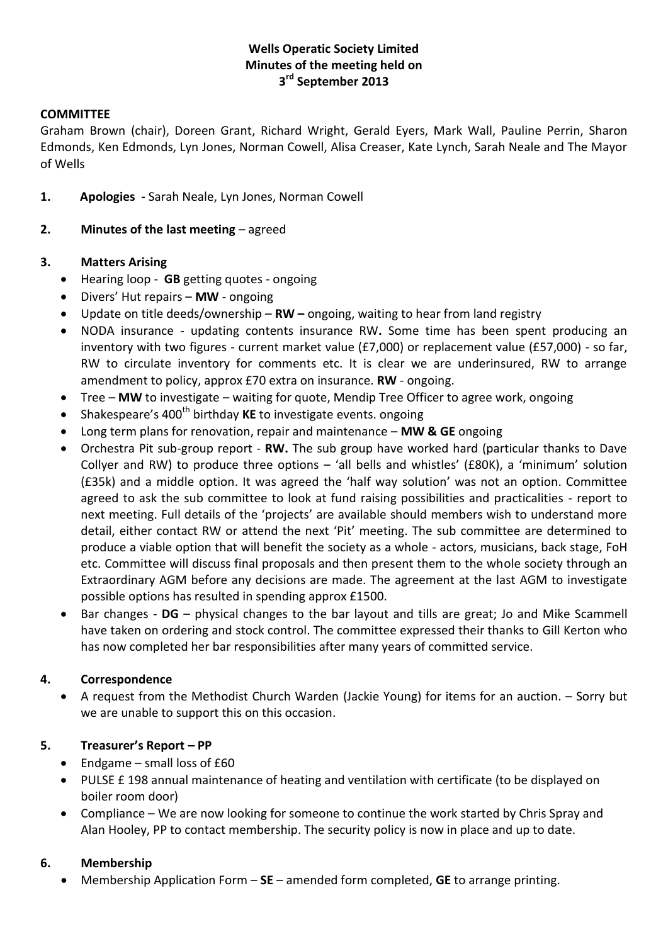# **Wells Operatic Society Limited Minutes of the meeting held on 3 rd September 2013**

#### **COMMITTEE**

Graham Brown (chair), Doreen Grant, Richard Wright, Gerald Eyers, Mark Wall, Pauline Perrin, Sharon Edmonds, Ken Edmonds, Lyn Jones, Norman Cowell, Alisa Creaser, Kate Lynch, Sarah Neale and The Mayor of Wells

- **1. Apologies -** Sarah Neale, Lyn Jones, Norman Cowell
- **2. Minutes of the last meeting** agreed

#### **3. Matters Arising**

- Hearing loop **GB** getting quotes ongoing
- Divers' Hut repairs **MW** ongoing
- Update on title deeds/ownership **RW –** ongoing, waiting to hear from land registry
- NODA insurance updating contents insurance RW**.** Some time has been spent producing an inventory with two figures - current market value (£7,000) or replacement value (£57,000) - so far, RW to circulate inventory for comments etc. It is clear we are underinsured, RW to arrange amendment to policy, approx £70 extra on insurance. **RW** - ongoing.
- Tree **MW** to investigate waiting for quote, Mendip Tree Officer to agree work, ongoing
- Shakespeare's 400<sup>th</sup> birthday **KE** to investigate events. ongoing
- Long term plans for renovation, repair and maintenance **MW & GE** ongoing
- Orchestra Pit sub-group report **RW.** The sub group have worked hard (particular thanks to Dave Collyer and RW) to produce three options – 'all bells and whistles' (£80K), a 'minimum' solution (£35k) and a middle option. It was agreed the 'half way solution' was not an option. Committee agreed to ask the sub committee to look at fund raising possibilities and practicalities - report to next meeting. Full details of the 'projects' are available should members wish to understand more detail, either contact RW or attend the next 'Pit' meeting. The sub committee are determined to produce a viable option that will benefit the society as a whole - actors, musicians, back stage, FoH etc. Committee will discuss final proposals and then present them to the whole society through an Extraordinary AGM before any decisions are made. The agreement at the last AGM to investigate possible options has resulted in spending approx £1500.
- Bar changes **DG**  physical changes to the bar layout and tills are great; Jo and Mike Scammell have taken on ordering and stock control. The committee expressed their thanks to Gill Kerton who has now completed her bar responsibilities after many years of committed service.

### **4. Correspondence**

 A request from the Methodist Church Warden (Jackie Young) for items for an auction. – Sorry but we are unable to support this on this occasion.

#### **5. Treasurer's Report – PP**

- Endgame small loss of  $£60$
- PULSE £ 198 annual maintenance of heating and ventilation with certificate (to be displayed on boiler room door)
- Compliance We are now looking for someone to continue the work started by Chris Spray and Alan Hooley, PP to contact membership. The security policy is now in place and up to date.

#### **6. Membership**

Membership Application Form – **SE** – amended form completed, **GE** to arrange printing.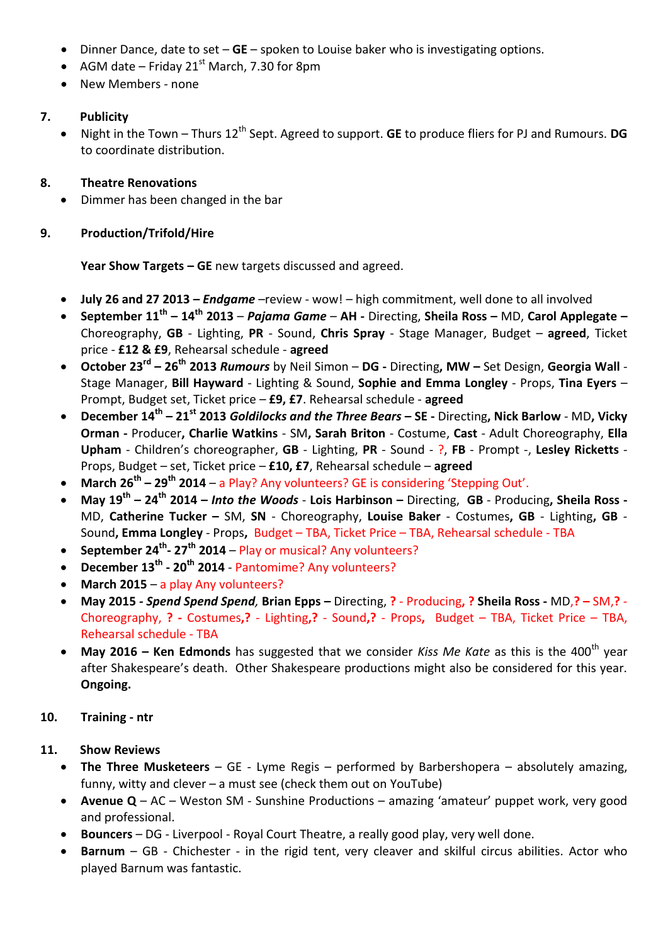- Dinner Dance, date to set **GE** spoken to Louise baker who is investigating options.
- AGM date Friday 21<sup>st</sup> March, 7.30 for 8pm
- New Members none

### **7. Publicity**

• Night in the Town – Thurs 12<sup>th</sup> Sept. Agreed to support. **GE** to produce fliers for PJ and Rumours. **DG** to coordinate distribution.

## **8. Theatre Renovations**

Dimmer has been changed in the bar

## **9. Production/Trifold/Hire**

**Year Show Targets – GE** new targets discussed and agreed.

- **July 26 and 27 2013 –** *Endgame* –review wow! high commitment, well done to all involved
- **September 11th – 14th 2013**  *Pajama Game* **AH -** Directing, **Sheila Ross –** MD, **Carol Applegate –** Choreography, **GB** - Lighting, **PR** - Sound, **Chris Spray** - Stage Manager, Budget – **agreed**, Ticket price - **£12 & £9**, Rehearsal schedule - **agreed**
- **October 23rd – 26th 2013** *Rumours* by Neil Simon **DG -** Directing**, MW –** Set Design, **Georgia Wall** Stage Manager, **Bill Hayward** - Lighting & Sound, **Sophie and Emma Longley** - Props, **Tina Eyers** – Prompt, Budget set, Ticket price – **£9, £7**. Rehearsal schedule - **agreed**
- **December 14th – 21st 2013** *Goldilocks and the Three Bears* **– SE -** Directing**, Nick Barlow** MD**, Vicky Orman -** Producer**, Charlie Watkins** - SM**, Sarah Briton** - Costume, **Cast** - Adult Choreography, **Ella Upham** - Children's choreographer, **GB** - Lighting, **PR** - Sound - ?, **FB** - Prompt -, **Lesley Ricketts** - Props, Budget – set, Ticket price – **£10, £7**, Rehearsal schedule – **agreed**
- **March 26th – 29th 2014** a Play? Any volunteers? GE is considering 'Stepping Out'.
- **May 19th – 24th 2014 –** *Into the Woods* **Lois Harbinson –** Directing, **GB** Producing**, Sheila Ross -** MD, **Catherine Tucker –** SM, **SN** - Choreography, **Louise Baker** - Costumes**, GB** - Lighting**, GB** - Sound**, Emma Longley** - Props**,** Budget – TBA, Ticket Price – TBA, Rehearsal schedule - TBA
- **September 24th - 27th 2014** Play or musical? Any volunteers?
- **December 13th - 20th 2014** Pantomime? Any volunteers?
- **March 2015** a play Any volunteers?
- **May 2015** *- Spend Spend Spend,* **Brian Epps –** Directing, **?** Producing**, ? Sheila Ross -** MD,**? –** SM,**?**  Choreography, **? -** Costumes**,?** - Lighting**,?** - Sound**,?** - Props**,** Budget – TBA, Ticket Price – TBA, Rehearsal schedule - TBA
- **May 2016 Ken Edmonds** has suggested that we consider *Kiss Me Kate* as this is the 400<sup>th</sup> year after Shakespeare's death. Other Shakespeare productions might also be considered for this year. **Ongoing.**

### **10. Training - ntr**

# **11. Show Reviews**

- **The Three Musketeers** GE Lyme Regis performed by Barbershopera absolutely amazing, funny, witty and clever – a must see (check them out on YouTube)
- **Avenue Q** AC Weston SM Sunshine Productions amazing 'amateur' puppet work, very good and professional.
- **Bouncers**  DG Liverpool Royal Court Theatre, a really good play, very well done.
- **Barnum**  GB Chichester in the rigid tent, very cleaver and skilful circus abilities. Actor who played Barnum was fantastic.